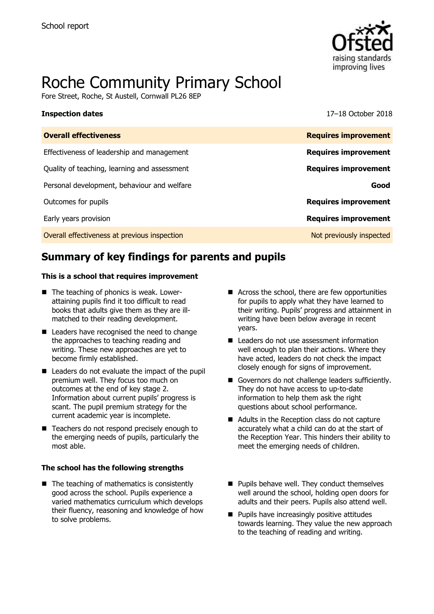

# Roche Community Primary School

Fore Street, Roche, St Austell, Cornwall PL26 8EP

**Inspection dates** 17–18 October 2018

| <b>Overall effectiveness</b>                 | <b>Requires improvement</b> |
|----------------------------------------------|-----------------------------|
| Effectiveness of leadership and management   | <b>Requires improvement</b> |
| Quality of teaching, learning and assessment | <b>Requires improvement</b> |
| Personal development, behaviour and welfare  | Good                        |
| Outcomes for pupils                          | <b>Requires improvement</b> |
| Early years provision                        | <b>Requires improvement</b> |
| Overall effectiveness at previous inspection | Not previously inspected    |
|                                              |                             |

# **Summary of key findings for parents and pupils**

### **This is a school that requires improvement**

- The teaching of phonics is weak. Lowerattaining pupils find it too difficult to read books that adults give them as they are illmatched to their reading development.
- Leaders have recognised the need to change the approaches to teaching reading and writing. These new approaches are yet to become firmly established.
- Leaders do not evaluate the impact of the pupil premium well. They focus too much on outcomes at the end of key stage 2. Information about current pupils' progress is scant. The pupil premium strategy for the current academic year is incomplete.
- Teachers do not respond precisely enough to the emerging needs of pupils, particularly the most able.

### **The school has the following strengths**

 $\blacksquare$  The teaching of mathematics is consistently good across the school. Pupils experience a varied mathematics curriculum which develops their fluency, reasoning and knowledge of how to solve problems.

- Across the school, there are few opportunities for pupils to apply what they have learned to their writing. Pupils' progress and attainment in writing have been below average in recent years.
- Leaders do not use assessment information well enough to plan their actions. Where they have acted, leaders do not check the impact closely enough for signs of improvement.
- Governors do not challenge leaders sufficiently. They do not have access to up-to-date information to help them ask the right questions about school performance.
- Adults in the Reception class do not capture accurately what a child can do at the start of the Reception Year. This hinders their ability to meet the emerging needs of children.
- $\blacksquare$  Pupils behave well. They conduct themselves well around the school, holding open doors for adults and their peers. Pupils also attend well.
- **Pupils have increasingly positive attitudes** towards learning. They value the new approach to the teaching of reading and writing.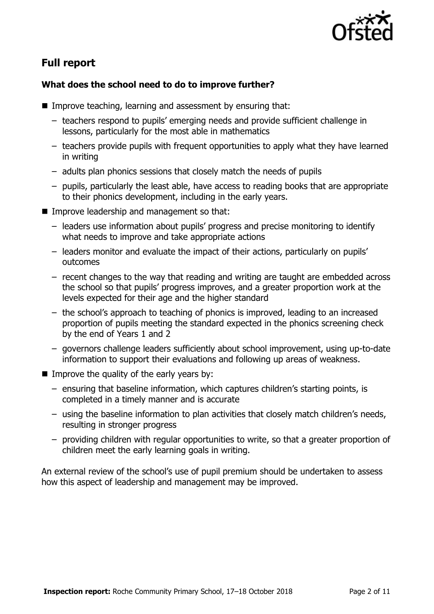

# **Full report**

### **What does the school need to do to improve further?**

- Improve teaching, learning and assessment by ensuring that:
	- teachers respond to pupils' emerging needs and provide sufficient challenge in lessons, particularly for the most able in mathematics
	- teachers provide pupils with frequent opportunities to apply what they have learned in writing
	- adults plan phonics sessions that closely match the needs of pupils
	- pupils, particularly the least able, have access to reading books that are appropriate to their phonics development, including in the early years.
- Improve leadership and management so that:
	- leaders use information about pupils' progress and precise monitoring to identify what needs to improve and take appropriate actions
	- leaders monitor and evaluate the impact of their actions, particularly on pupils' outcomes
	- recent changes to the way that reading and writing are taught are embedded across the school so that pupils' progress improves, and a greater proportion work at the levels expected for their age and the higher standard
	- the school's approach to teaching of phonics is improved, leading to an increased proportion of pupils meeting the standard expected in the phonics screening check by the end of Years 1 and 2
	- governors challenge leaders sufficiently about school improvement, using up-to-date information to support their evaluations and following up areas of weakness.
- Improve the quality of the early years by:
	- ensuring that baseline information, which captures children's starting points, is completed in a timely manner and is accurate
	- using the baseline information to plan activities that closely match children's needs, resulting in stronger progress
	- providing children with regular opportunities to write, so that a greater proportion of children meet the early learning goals in writing.

An external review of the school's use of pupil premium should be undertaken to assess how this aspect of leadership and management may be improved.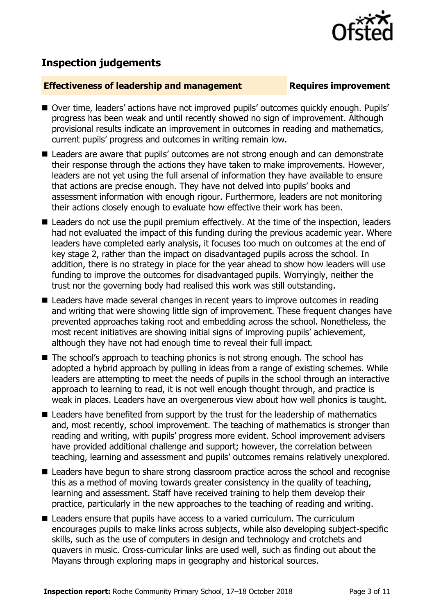

## **Inspection judgements**

### **Effectiveness of leadership and management Requires improvement**

- Over time, leaders' actions have not improved pupils' outcomes quickly enough. Pupils' progress has been weak and until recently showed no sign of improvement. Although provisional results indicate an improvement in outcomes in reading and mathematics, current pupils' progress and outcomes in writing remain low.
- Leaders are aware that pupils' outcomes are not strong enough and can demonstrate their response through the actions they have taken to make improvements. However, leaders are not yet using the full arsenal of information they have available to ensure that actions are precise enough. They have not delved into pupils' books and assessment information with enough rigour. Furthermore, leaders are not monitoring their actions closely enough to evaluate how effective their work has been.
- Leaders do not use the pupil premium effectively. At the time of the inspection, leaders had not evaluated the impact of this funding during the previous academic year. Where leaders have completed early analysis, it focuses too much on outcomes at the end of key stage 2, rather than the impact on disadvantaged pupils across the school. In addition, there is no strategy in place for the year ahead to show how leaders will use funding to improve the outcomes for disadvantaged pupils. Worryingly, neither the trust nor the governing body had realised this work was still outstanding.
- Leaders have made several changes in recent vears to improve outcomes in reading and writing that were showing little sign of improvement. These frequent changes have prevented approaches taking root and embedding across the school. Nonetheless, the most recent initiatives are showing initial signs of improving pupils' achievement, although they have not had enough time to reveal their full impact.
- The school's approach to teaching phonics is not strong enough. The school has adopted a hybrid approach by pulling in ideas from a range of existing schemes. While leaders are attempting to meet the needs of pupils in the school through an interactive approach to learning to read, it is not well enough thought through, and practice is weak in places. Leaders have an overgenerous view about how well phonics is taught.
- Leaders have benefited from support by the trust for the leadership of mathematics and, most recently, school improvement. The teaching of mathematics is stronger than reading and writing, with pupils' progress more evident. School improvement advisers have provided additional challenge and support; however, the correlation between teaching, learning and assessment and pupils' outcomes remains relatively unexplored.
- Leaders have begun to share strong classroom practice across the school and recognise this as a method of moving towards greater consistency in the quality of teaching, learning and assessment. Staff have received training to help them develop their practice, particularly in the new approaches to the teaching of reading and writing.
- Leaders ensure that pupils have access to a varied curriculum. The curriculum encourages pupils to make links across subjects, while also developing subject-specific skills, such as the use of computers in design and technology and crotchets and quavers in music. Cross-curricular links are used well, such as finding out about the Mayans through exploring maps in geography and historical sources.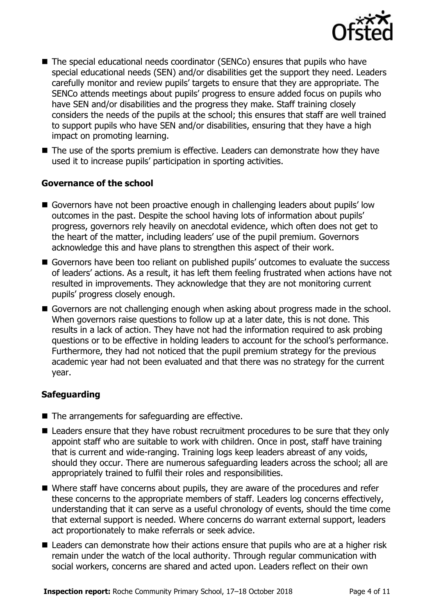

- The special educational needs coordinator (SENCo) ensures that pupils who have special educational needs (SEN) and/or disabilities get the support they need. Leaders carefully monitor and review pupils' targets to ensure that they are appropriate. The SENCo attends meetings about pupils' progress to ensure added focus on pupils who have SEN and/or disabilities and the progress they make. Staff training closely considers the needs of the pupils at the school; this ensures that staff are well trained to support pupils who have SEN and/or disabilities, ensuring that they have a high impact on promoting learning.
- The use of the sports premium is effective. Leaders can demonstrate how they have used it to increase pupils' participation in sporting activities.

### **Governance of the school**

- Governors have not been proactive enough in challenging leaders about pupils' low outcomes in the past. Despite the school having lots of information about pupils' progress, governors rely heavily on anecdotal evidence, which often does not get to the heart of the matter, including leaders' use of the pupil premium. Governors acknowledge this and have plans to strengthen this aspect of their work.
- Governors have been too reliant on published pupils' outcomes to evaluate the success of leaders' actions. As a result, it has left them feeling frustrated when actions have not resulted in improvements. They acknowledge that they are not monitoring current pupils' progress closely enough.
- Governors are not challenging enough when asking about progress made in the school. When governors raise questions to follow up at a later date, this is not done. This results in a lack of action. They have not had the information required to ask probing questions or to be effective in holding leaders to account for the school's performance. Furthermore, they had not noticed that the pupil premium strategy for the previous academic year had not been evaluated and that there was no strategy for the current year.

### **Safeguarding**

- The arrangements for safeguarding are effective.
- Leaders ensure that they have robust recruitment procedures to be sure that they only appoint staff who are suitable to work with children. Once in post, staff have training that is current and wide-ranging. Training logs keep leaders abreast of any voids, should they occur. There are numerous safeguarding leaders across the school; all are appropriately trained to fulfil their roles and responsibilities.
- Where staff have concerns about pupils, they are aware of the procedures and refer these concerns to the appropriate members of staff. Leaders log concerns effectively, understanding that it can serve as a useful chronology of events, should the time come that external support is needed. Where concerns do warrant external support, leaders act proportionately to make referrals or seek advice.
- Leaders can demonstrate how their actions ensure that pupils who are at a higher risk remain under the watch of the local authority. Through regular communication with social workers, concerns are shared and acted upon. Leaders reflect on their own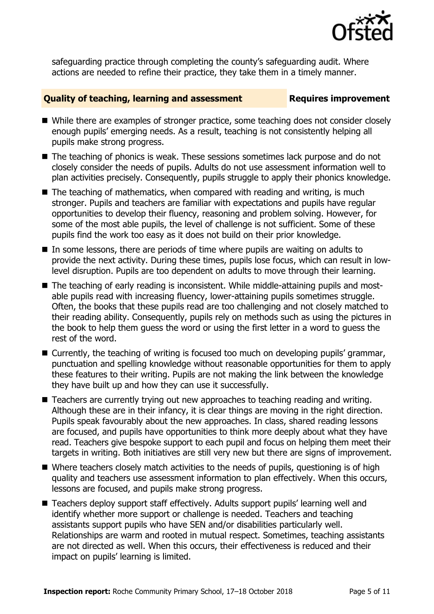

safeguarding practice through completing the county's safeguarding audit. Where actions are needed to refine their practice, they take them in a timely manner.

### **Quality of teaching, learning and assessment Fig. 2.1 Requires improvement**

- While there are examples of stronger practice, some teaching does not consider closely enough pupils' emerging needs. As a result, teaching is not consistently helping all pupils make strong progress.
- The teaching of phonics is weak. These sessions sometimes lack purpose and do not closely consider the needs of pupils. Adults do not use assessment information well to plan activities precisely. Consequently, pupils struggle to apply their phonics knowledge.
- $\blacksquare$  The teaching of mathematics, when compared with reading and writing, is much stronger. Pupils and teachers are familiar with expectations and pupils have regular opportunities to develop their fluency, reasoning and problem solving. However, for some of the most able pupils, the level of challenge is not sufficient. Some of these pupils find the work too easy as it does not build on their prior knowledge.
- In some lessons, there are periods of time where pupils are waiting on adults to provide the next activity. During these times, pupils lose focus, which can result in lowlevel disruption. Pupils are too dependent on adults to move through their learning.
- The teaching of early reading is inconsistent. While middle-attaining pupils and mostable pupils read with increasing fluency, lower-attaining pupils sometimes struggle. Often, the books that these pupils read are too challenging and not closely matched to their reading ability. Consequently, pupils rely on methods such as using the pictures in the book to help them guess the word or using the first letter in a word to guess the rest of the word.
- Currently, the teaching of writing is focused too much on developing pupils' grammar, punctuation and spelling knowledge without reasonable opportunities for them to apply these features to their writing. Pupils are not making the link between the knowledge they have built up and how they can use it successfully.
- Teachers are currently trying out new approaches to teaching reading and writing. Although these are in their infancy, it is clear things are moving in the right direction. Pupils speak favourably about the new approaches. In class, shared reading lessons are focused, and pupils have opportunities to think more deeply about what they have read. Teachers give bespoke support to each pupil and focus on helping them meet their targets in writing. Both initiatives are still very new but there are signs of improvement.
- Where teachers closely match activities to the needs of pupils, questioning is of high quality and teachers use assessment information to plan effectively. When this occurs, lessons are focused, and pupils make strong progress.
- Teachers deploy support staff effectively. Adults support pupils' learning well and identify whether more support or challenge is needed. Teachers and teaching assistants support pupils who have SEN and/or disabilities particularly well. Relationships are warm and rooted in mutual respect. Sometimes, teaching assistants are not directed as well. When this occurs, their effectiveness is reduced and their impact on pupils' learning is limited.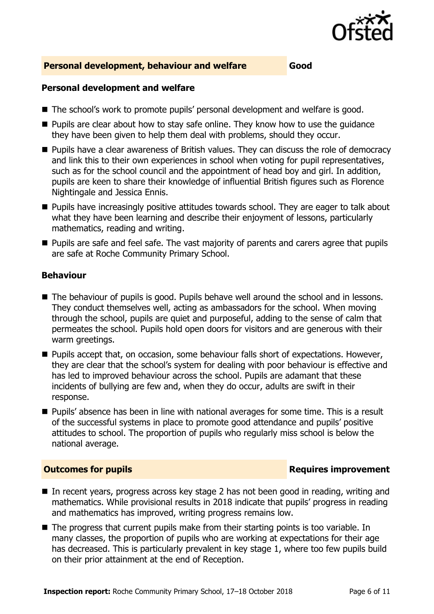

### **Personal development, behaviour and welfare Good**

### **Personal development and welfare**

- The school's work to promote pupils' personal development and welfare is good.
- $\blacksquare$  Pupils are clear about how to stay safe online. They know how to use the guidance they have been given to help them deal with problems, should they occur.
- **Pupils have a clear awareness of British values. They can discuss the role of democracy** and link this to their own experiences in school when voting for pupil representatives, such as for the school council and the appointment of head boy and girl. In addition, pupils are keen to share their knowledge of influential British figures such as Florence Nightingale and Jessica Ennis.
- **Pupils have increasingly positive attitudes towards school. They are eager to talk about** what they have been learning and describe their enjoyment of lessons, particularly mathematics, reading and writing.
- **Pupils are safe and feel safe. The vast majority of parents and carers agree that pupils** are safe at Roche Community Primary School.

### **Behaviour**

- The behaviour of pupils is good. Pupils behave well around the school and in lessons. They conduct themselves well, acting as ambassadors for the school. When moving through the school, pupils are quiet and purposeful, adding to the sense of calm that permeates the school. Pupils hold open doors for visitors and are generous with their warm greetings.
- **Pupils accept that, on occasion, some behaviour falls short of expectations. However,** they are clear that the school's system for dealing with poor behaviour is effective and has led to improved behaviour across the school. Pupils are adamant that these incidents of bullying are few and, when they do occur, adults are swift in their response.
- **Pupils'** absence has been in line with national averages for some time. This is a result of the successful systems in place to promote good attendance and pupils' positive attitudes to school. The proportion of pupils who regularly miss school is below the national average.

### **Outcomes for pupils Requires improvement**

- In recent years, progress across key stage 2 has not been good in reading, writing and mathematics. While provisional results in 2018 indicate that pupils' progress in reading and mathematics has improved, writing progress remains low.
- The progress that current pupils make from their starting points is too variable. In many classes, the proportion of pupils who are working at expectations for their age has decreased. This is particularly prevalent in key stage 1, where too few pupils build on their prior attainment at the end of Reception.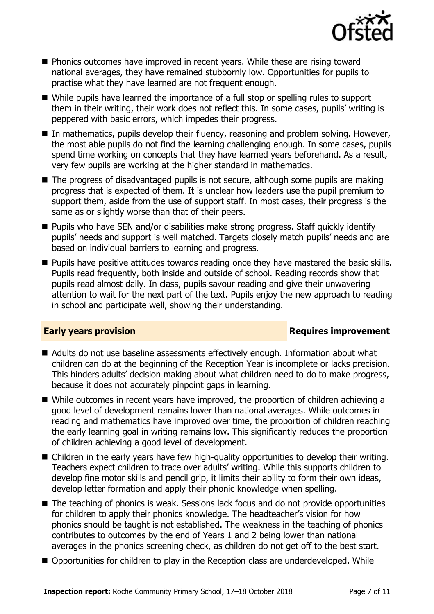

- **Phonics outcomes have improved in recent years. While these are rising toward** national averages, they have remained stubbornly low. Opportunities for pupils to practise what they have learned are not frequent enough.
- While pupils have learned the importance of a full stop or spelling rules to support them in their writing, their work does not reflect this. In some cases, pupils' writing is peppered with basic errors, which impedes their progress.
- In mathematics, pupils develop their fluency, reasoning and problem solving. However, the most able pupils do not find the learning challenging enough. In some cases, pupils spend time working on concepts that they have learned years beforehand. As a result, very few pupils are working at the higher standard in mathematics.
- The progress of disadvantaged pupils is not secure, although some pupils are making progress that is expected of them. It is unclear how leaders use the pupil premium to support them, aside from the use of support staff. In most cases, their progress is the same as or slightly worse than that of their peers.
- Pupils who have SEN and/or disabilities make strong progress. Staff quickly identify pupils' needs and support is well matched. Targets closely match pupils' needs and are based on individual barriers to learning and progress.
- **Pupils have positive attitudes towards reading once they have mastered the basic skills.** Pupils read frequently, both inside and outside of school. Reading records show that pupils read almost daily. In class, pupils savour reading and give their unwavering attention to wait for the next part of the text. Pupils enjoy the new approach to reading in school and participate well, showing their understanding.

### **Early years provision**

- Adults do not use baseline assessments effectively enough. Information about what children can do at the beginning of the Reception Year is incomplete or lacks precision. This hinders adults' decision making about what children need to do to make progress, because it does not accurately pinpoint gaps in learning.
- While outcomes in recent years have improved, the proportion of children achieving a good level of development remains lower than national averages. While outcomes in reading and mathematics have improved over time, the proportion of children reaching the early learning goal in writing remains low. This significantly reduces the proportion of children achieving a good level of development.
- Children in the early years have few high-quality opportunities to develop their writing. Teachers expect children to trace over adults' writing. While this supports children to develop fine motor skills and pencil grip, it limits their ability to form their own ideas, develop letter formation and apply their phonic knowledge when spelling.
- The teaching of phonics is weak. Sessions lack focus and do not provide opportunities for children to apply their phonics knowledge. The headteacher's vision for how phonics should be taught is not established. The weakness in the teaching of phonics contributes to outcomes by the end of Years 1 and 2 being lower than national averages in the phonics screening check, as children do not get off to the best start.
- Opportunities for children to play in the Reception class are underdeveloped. While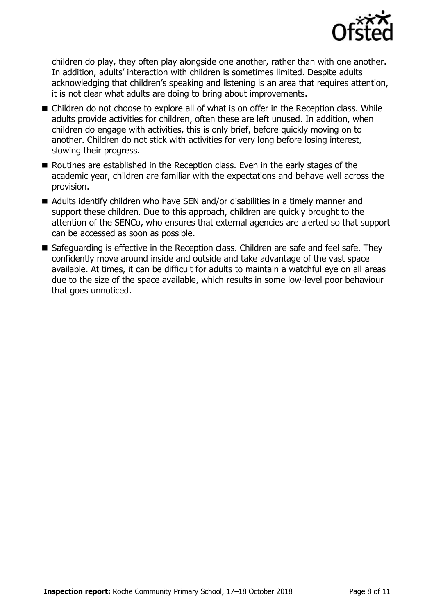

children do play, they often play alongside one another, rather than with one another. In addition, adults' interaction with children is sometimes limited. Despite adults acknowledging that children's speaking and listening is an area that requires attention, it is not clear what adults are doing to bring about improvements.

- Children do not choose to explore all of what is on offer in the Reception class. While adults provide activities for children, often these are left unused. In addition, when children do engage with activities, this is only brief, before quickly moving on to another. Children do not stick with activities for very long before losing interest, slowing their progress.
- Routines are established in the Reception class. Even in the early stages of the academic year, children are familiar with the expectations and behave well across the provision.
- Adults identify children who have SEN and/or disabilities in a timely manner and support these children. Due to this approach, children are quickly brought to the attention of the SENCo, who ensures that external agencies are alerted so that support can be accessed as soon as possible.
- Safeguarding is effective in the Reception class. Children are safe and feel safe. They confidently move around inside and outside and take advantage of the vast space available. At times, it can be difficult for adults to maintain a watchful eye on all areas due to the size of the space available, which results in some low-level poor behaviour that goes unnoticed.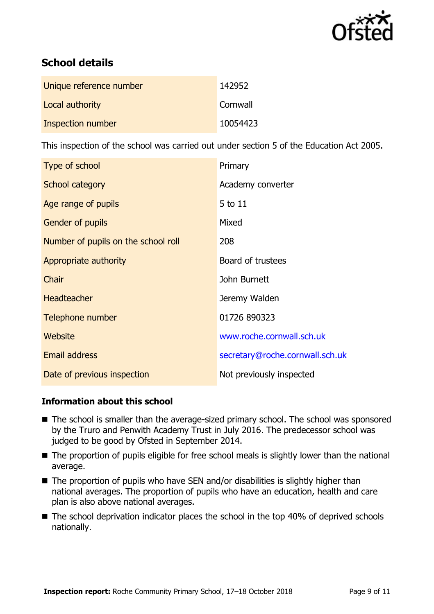

# **School details**

| Unique reference number | 142952   |
|-------------------------|----------|
| Local authority         | Cornwall |
| Inspection number       | 10054423 |

This inspection of the school was carried out under section 5 of the Education Act 2005.

| Type of school                      | Primary                         |
|-------------------------------------|---------------------------------|
| School category                     | Academy converter               |
| Age range of pupils                 | 5 to 11                         |
| Gender of pupils                    | Mixed                           |
| Number of pupils on the school roll | 208                             |
| Appropriate authority               | Board of trustees               |
| Chair                               | John Burnett                    |
| <b>Headteacher</b>                  | Jeremy Walden                   |
| Telephone number                    | 01726 890323                    |
| Website                             | www.roche.cornwall.sch.uk       |
| <b>Email address</b>                | secretary@roche.cornwall.sch.uk |
| Date of previous inspection         | Not previously inspected        |

### **Information about this school**

- The school is smaller than the average-sized primary school. The school was sponsored by the Truro and Penwith Academy Trust in July 2016. The predecessor school was judged to be good by Ofsted in September 2014.
- The proportion of pupils eligible for free school meals is slightly lower than the national average.
- $\blacksquare$  The proportion of pupils who have SEN and/or disabilities is slightly higher than national averages. The proportion of pupils who have an education, health and care plan is also above national averages.
- The school deprivation indicator places the school in the top 40% of deprived schools nationally.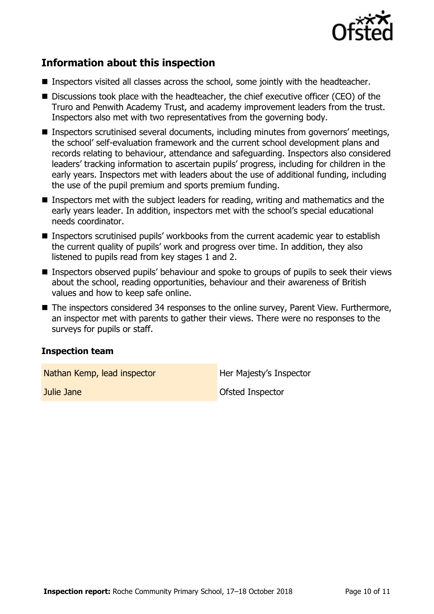

# **Information about this inspection**

- Inspectors visited all classes across the school, some jointly with the headteacher.
- Discussions took place with the headteacher, the chief executive officer (CEO) of the Truro and Penwith Academy Trust, and academy improvement leaders from the trust. Inspectors also met with two representatives from the governing body.
- Inspectors scrutinised several documents, including minutes from governors' meetings, the school' self-evaluation framework and the current school development plans and records relating to behaviour, attendance and safeguarding. Inspectors also considered leaders' tracking information to ascertain pupils' progress, including for children in the early years. Inspectors met with leaders about the use of additional funding, including the use of the pupil premium and sports premium funding.
- Inspectors met with the subject leaders for reading, writing and mathematics and the early years leader. In addition, inspectors met with the school's special educational needs coordinator.
- Inspectors scrutinised pupils' workbooks from the current academic year to establish the current quality of pupils' work and progress over time. In addition, they also listened to pupils read from key stages 1 and 2.
- Inspectors observed pupils' behaviour and spoke to groups of pupils to seek their views about the school, reading opportunities, behaviour and their awareness of British values and how to keep safe online.
- The inspectors considered 34 responses to the online survey, Parent View. Furthermore, an inspector met with parents to gather their views. There were no responses to the surveys for pupils or staff.

### **Inspection team**

Nathan Kemp, lead inspector **Her Majesty's Inspector** 

**Julie Jane Ofsted Inspector**